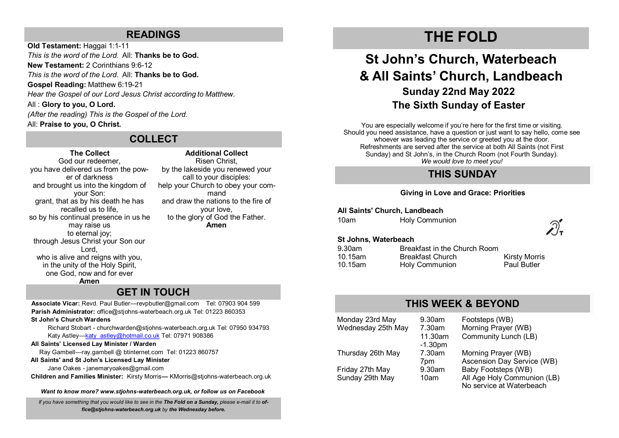### **READINGS**

**Old Testament:** Haggai 1:1-11 *This is the word of the Lord.* All: **Thanks be to God. New Testament:** 2 Corinthians 9:6-12 *This is the word of the Lord.* All: **Thanks be to God. Gospel Reading:** Matthew 6:19-21 *Hear the Gospel of our Lord Jesus Christ according to Matthew.* All : **Glory to you, O Lord.** *(After the reading) This is the Gospel of the Lord.*  All: **Praise to you, O Christ.**

### **COLLECT**

### **The Collect**

God our redeemer, you have delivered us from the power of darkness and brought us into the kingdom of your Son: grant, that as by his death he has recalled us to life, so by his continual presence in us he may raise us to eternal joy; through Jesus Christ your Son our Lord, who is alive and reigns with you. in the unity of the Holy Spirit, one God, now and for ever **Amen**

**Additional Collect** Risen Christ, by the lakeside you renewed your call to your disciples: help your Church to obey your command and draw the nations to the fire of your love, to the glory of God the Father. **Amen**

## **GET IN TOUCH**

**Associate Vicar:** Revd. Paul Butler—[revpbutler@gmail.com](mailto:revpbutler@gmail.com) Tel: 07903 904 599 **Parish Administrator:** office@stjohns-waterbeach.org.uk Tel: 01223 860353

**St John's Church Wardens**

Richard Stobart - churchwarden@stjohns-waterbeach.org.uk Tel: 07950 934793 Katy Astley—[katy\\_astley@hotmail.co.uk](mailto:katy_astley@hotmail.co.uk) Tel: 07971 908386

#### **All Saints' Licensed Lay Minister / Warden**

Ray Gambell—ray.gambell @ btinternet.com Tel: 01223 860757

#### **All Saints' and St John's Licensed Lay Minister**

Jane Oakes - janemaryoakes@gmail.com

**Children and Families Minister:** Kirsty Morris**—** KMorris@stjohns-waterbeach.org.uk

*Want to know more? www.stjohns-waterbeach.org.uk, or follow us on Facebook*

*If you have something that you would like to see in the The Fold on a Sunday, please e-mail it to office@stjohns-waterbeach.org.uk by the Wednesday before.* 

# **THE FOLD**

# **St John's Church, Waterbeach & All Saints' Church, Landbeach Sunday 22nd May 2022 The Sixth Sunday of Easter**

You are especially welcome if you're here for the first time or visiting. Should you need assistance, have a question or just want to say hello, come see whoever was leading the service or greeted you at the door. Refreshments are served after the service at both All Saints (not First Sunday) and St John's, in the Church Room (not Fourth Sunday). *We would love to meet you!* 

## **THIS SUNDAY**

### **Giving in Love and Grace: Priorities**

**All Saints' Church, Landbeach**

| <b>Holy Communion</b> |
|-----------------------|
|                       |



### **St Johns, Waterbeach**

| $9.30$ am | Breakfast in the Church Room |                      |
|-----------|------------------------------|----------------------|
| 10.15am   | <b>Breakfast Church</b>      | <b>Kirsty Morris</b> |
| 10.15am   | Holy Communion               | <b>Paul Butler</b>   |

### **THIS WEEK & BEYOND**

Monday 23rd May 9.30am Footsteps (WB)<br>Wednesday 25th May 7.30am Morning Prayer (WB) Wednesday 25th May -1.30pm Thursday 26th May 7.30am Morning Prayer (WB) Friday 27th May 9.30am Baby Footsteps (WB)

11.30am Community Lunch (LB) 7pm Ascension Day Service (WB)

Sunday 29th May 10am All Age Holy Communion (LB) No service at Waterbeach